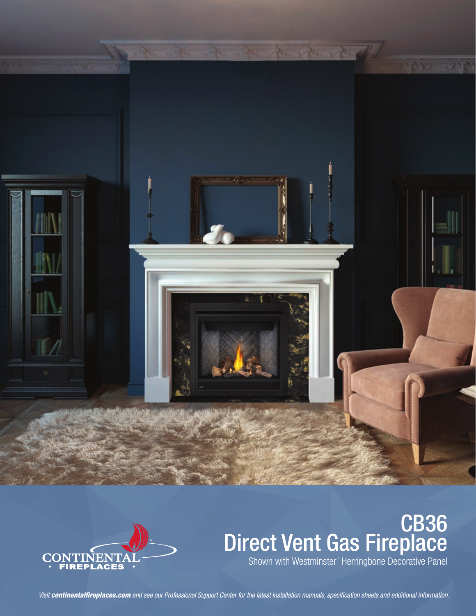



# CB36 Direct Vent Gas Fireplace

Shown with Westminster" Herringbone Decorative Panel

*Visit continentalfireplaces.com and see our Professional Support Center for the latest installation manuals, specification sheets and additional information.*